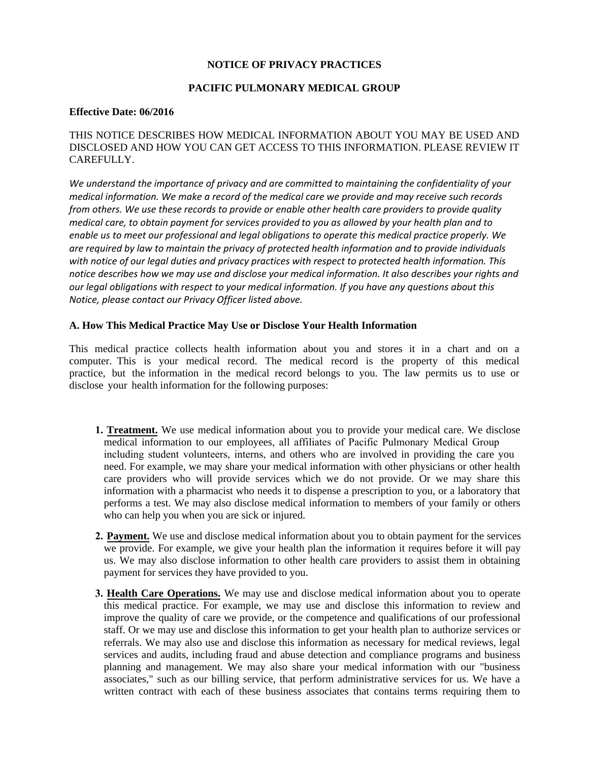## **NOTICE OF PRIVACY PRACTICES**

# **PACIFIC PULMONARY MEDICAL GROUP**

#### **Effective Date: 06/2016**

# THIS NOTICE DESCRIBES HOW MEDICAL INFORMATION ABOUT YOU MAY BE USED AND DISCLOSED AND HOW YOU CAN GET ACCESS TO THIS INFORMATION. PLEASE REVIEW IT CAREFULLY.

*We understand the importance of privacy and are committed to maintaining the confidentiality of your medical information. We make a record of the medical care we provide and may receive such records from others. We use these records to provide or enable other health care providers to provide quality medical care, to obtain payment for services provided to you as allowed by your health plan and to enable us to meet our professional and legal obligations to operate this medical practice properly. We are required by law to maintain the privacy of protected health information and to provide individuals with notice of our legal duties and privacy practices with respect to protected health information. This notice describes how we may use and disclose your medical information. It also describes your rights and our legal obligations with respect to your medical information. If you have any questions about this Notice, please contact our Privacy Officer listed above.* 

## **A. How This Medical Practice May Use or Disclose Your Health Information**

This medical practice collects health information about you and stores it in a chart and on a computer. This is your medical record. The medical record is the property of this medical practice, but the information in the medical record belongs to you. The law permits us to use or disclose your health information for the following purposes:

- **1. Treatment.** We use medical information about you to provide your medical care. We disclose medical information to our employees, all affiliates of Pacific Pulmonary Medical Group including student volunteers, interns, and others who are involved in providing the care you need. For example, we may share your medical information with other physicians or other health care providers who will provide services which we do not provide. Or we may share this information with a pharmacist who needs it to dispense a prescription to you, or a laboratory that performs a test. We may also disclose medical information to members of your family or others who can help you when you are sick or injured.
- **2. Payment.** We use and disclose medical information about you to obtain payment for the services we provide. For example, we give your health plan the information it requires before it will pay us. We may also disclose information to other health care providers to assist them in obtaining payment for services they have provided to you.
- **3. Health Care Operations.** We may use and disclose medical information about you to operate this medical practice. For example, we may use and disclose this information to review and improve the quality of care we provide, or the competence and qualifications of our professional staff. Or we may use and disclose this information to get your health plan to authorize services or referrals. We may also use and disclose this information as necessary for medical reviews, legal services and audits, including fraud and abuse detection and compliance programs and business planning and management. We may also share your medical information with our "business associates," such as our billing service, that perform administrative services for us. We have a written contract with each of these business associates that contains terms requiring them to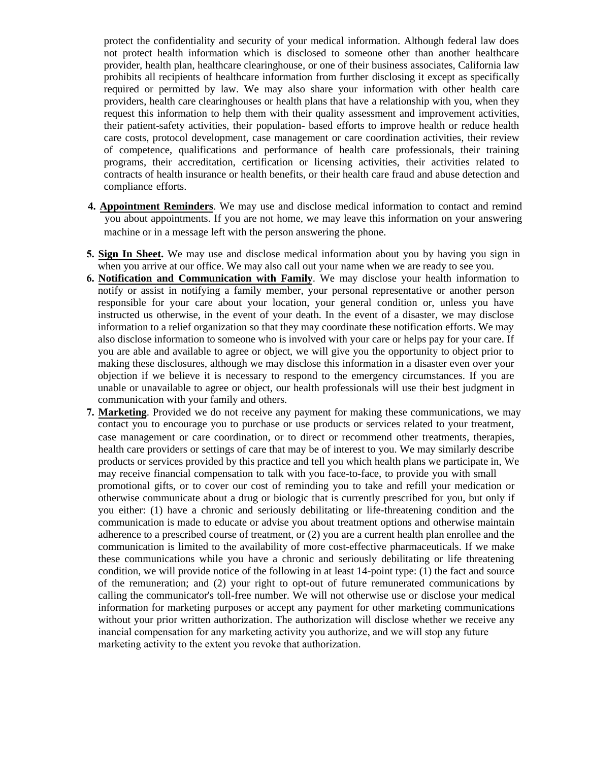protect the confidentiality and security of your medical information. Although federal law does not protect health information which is disclosed to someone other than another healthcare provider, health plan, healthcare clearinghouse, or one of their business associates, California law prohibits all recipients of healthcare information from further disclosing it except as specifically required or permitted by law. We may also share your information with other health care providers, health care clearinghouses or health plans that have a relationship with you, when they request this information to help them with their quality assessment and improvement activities, their patient-safety activities, their population- based efforts to improve health or reduce health care costs, protocol development, case management or care coordination activities, their review of competence, qualifications and performance of health care professionals, their training programs, their accreditation, certification or licensing activities, their activities related to contracts of health insurance or health benefits, or their health care fraud and abuse detection and compliance efforts.

- **4. Appointment Reminders**. We may use and disclose medical information to contact and remind you about appointments. If you are not home, we may leave this information on your answering machine or in a message left with the person answering the phone.
- **5. Sign In Sheet.** We may use and disclose medical information about you by having you sign in when you arrive at our office. We may also call out your name when we are ready to see you.
- **6. Notification and Communication with Family**. We may disclose your health information to notify or assist in notifying a family member, your personal representative or another person responsible for your care about your location, your general condition or, unless you have instructed us otherwise, in the event of your death. In the event of a disaster, we may disclose information to a relief organization so that they may coordinate these notification efforts. We may also disclose information to someone who is involved with your care or helps pay for your care. If you are able and available to agree or object, we will give you the opportunity to object prior to making these disclosures, although we may disclose this information in a disaster even over your objection if we believe it is necessary to respond to the emergency circumstances. If you are unable or unavailable to agree or object, our health professionals will use their best judgment in communication with your family and others.
- **7. Marketing**. Provided we do not receive any payment for making these communications, we may contact you to encourage you to purchase or use products or services related to your treatment, case management or care coordination, or to direct or recommend other treatments, therapies, health care providers or settings of care that may be of interest to you. We may similarly describe products or services provided by this practice and tell you which health plans we participate in, We may receive financial compensation to talk with you face-to-face, to provide you with small promotional gifts, or to cover our cost of reminding you to take and refill your medication or otherwise communicate about a drug or biologic that is currently prescribed for you, but only if you either: (1) have a chronic and seriously debilitating or life-threatening condition and the communication is made to educate or advise you about treatment options and otherwise maintain adherence to a prescribed course of treatment, or (2) you are a current health plan enrollee and the communication is limited to the availability of more cost-effective pharmaceuticals. If we make these communications while you have a chronic and seriously debilitating or life threatening condition, we will provide notice of the following in at least 14-point type: (1) the fact and source of the remuneration; and (2) your right to opt-out of future remunerated communications by calling the communicator's toll-free number. We will not otherwise use or disclose your medical information for marketing purposes or accept any payment for other marketing communications without your prior written authorization. The authorization will disclose whether we receive any inancial compensation for any marketing activity you authorize, and we will stop any future marketing activity to the extent you revoke that authorization.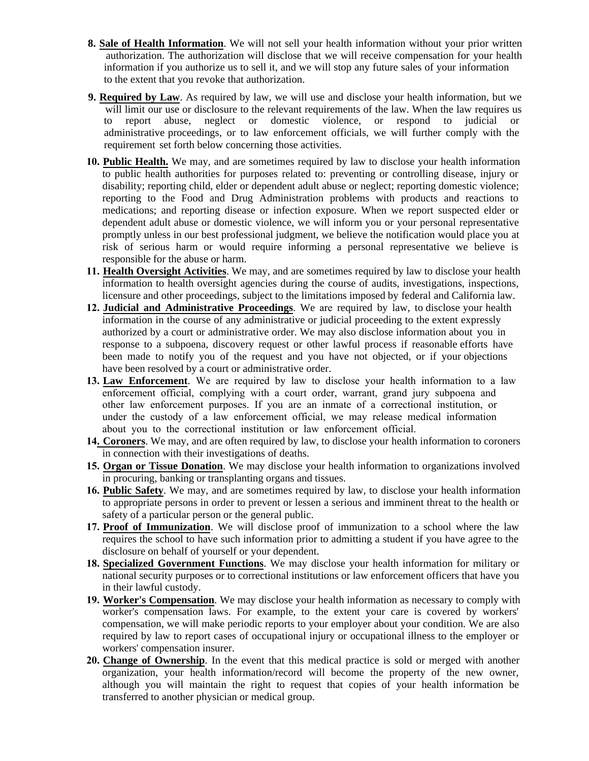- **8. Sale of Health Information**. We will not sell your health information without your prior written authorization. The authorization will disclose that we will receive compensation for your health information if you authorize us to sell it, and we will stop any future sales of your information to the extent that you revoke that authorization.
- **9. Required by Law**. As required by law, we will use and disclose your health information, but we will limit our use or disclosure to the relevant requirements of the law. When the law requires us to report abuse, neglect or domestic violence, or respond to judicial or administrative proceedings, or to law enforcement officials, we will further comply with the requirement set forth below concerning those activities.
- **10. Public Health.** We may, and are sometimes required by law to disclose your health information to public health authorities for purposes related to: preventing or controlling disease, injury or disability; reporting child, elder or dependent adult abuse or neglect; reporting domestic violence; reporting to the Food and Drug Administration problems with products and reactions to medications; and reporting disease or infection exposure. When we report suspected elder or dependent adult abuse or domestic violence, we will inform you or your personal representative promptly unless in our best professional judgment, we believe the notification would place you at risk of serious harm or would require informing a personal representative we believe is responsible for the abuse or harm.
- **11. Health Oversight Activities**. We may, and are sometimes required by law to disclose your health information to health oversight agencies during the course of audits, investigations, inspections, licensure and other proceedings, subject to the limitations imposed by federal and California law.
- **12. Judicial and Administrative Proceedings**. We are required by law, to disclose your health information in the course of any administrative or judicial proceeding to the extent expressly authorized by a court or administrative order. We may also disclose information about you in response to a subpoena, discovery request or other lawful process if reasonable efforts have been made to notify you of the request and you have not objected, or if your objections have been resolved by a court or administrative order.
- **13. Law Enforcement**. We are required by law to disclose your health information to a law enforcement official, complying with a court order, warrant, grand jury subpoena and other law enforcement purposes. If you are an inmate of a correctional institution, or under the custody of a law enforcement official, we may release medical information about you to the correctional institution or law enforcement official.
- **14. Coroners**. We may, and are often required by law, to disclose your health information to coroners in connection with their investigations of deaths.
- **15. Organ or Tissue Donation**. We may disclose your health information to organizations involved in procuring, banking or transplanting organs and tissues.
- **16. Public Safety**. We may, and are sometimes required by law, to disclose your health information to appropriate persons in order to prevent or lessen a serious and imminent threat to the health or safety of a particular person or the general public.
- **17. Proof of Immunization**. We will disclose proof of immunization to a school where the law requires the school to have such information prior to admitting a student if you have agree to the disclosure on behalf of yourself or your dependent.
- **18. Specialized Government Functions**. We may disclose your health information for military or national security purposes or to correctional institutions or law enforcement officers that have you in their lawful custody.
- **19. Worker's Compensation**. We may disclose your health information as necessary to comply with worker's compensation laws. For example, to the extent your care is covered by workers' compensation, we will make periodic reports to your employer about your condition. We are also required by law to report cases of occupational injury or occupational illness to the employer or workers' compensation insurer.
- **20. Change of Ownership**. In the event that this medical practice is sold or merged with another organization, your health information/record will become the property of the new owner, although you will maintain the right to request that copies of your health information be transferred to another physician or medical group.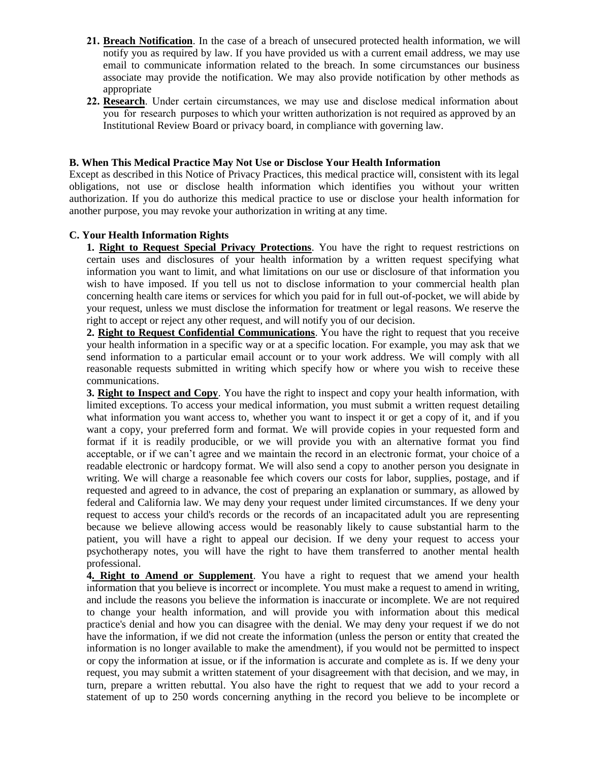- **21. Breach Notification**. In the case of a breach of unsecured protected health information, we will notify you as required by law. If you have provided us with a current email address, we may use email to communicate information related to the breach. In some circumstances our business associate may provide the notification. We may also provide notification by other methods as appropriate
- **22. Research**. Under certain circumstances, we may use and disclose medical information about you for research purposes to which your written authorization is not required as approved by an Institutional Review Board or privacy board, in compliance with governing law.

## **B. When This Medical Practice May Not Use or Disclose Your Health Information**

Except as described in this Notice of Privacy Practices, this medical practice will, consistent with its legal obligations, not use or disclose health information which identifies you without your written authorization. If you do authorize this medical practice to use or disclose your health information for another purpose, you may revoke your authorization in writing at any time.

## **C. Your Health Information Rights**

**1. Right to Request Special Privacy Protections**. You have the right to request restrictions on certain uses and disclosures of your health information by a written request specifying what information you want to limit, and what limitations on our use or disclosure of that information you wish to have imposed. If you tell us not to disclose information to your commercial health plan concerning health care items or services for which you paid for in full out-of-pocket, we will abide by your request, unless we must disclose the information for treatment or legal reasons. We reserve the right to accept or reject any other request, and will notify you of our decision.

**2. Right to Request Confidential Communications**. You have the right to request that you receive your health information in a specific way or at a specific location. For example, you may ask that we send information to a particular email account or to your work address. We will comply with all reasonable requests submitted in writing which specify how or where you wish to receive these communications.

**3. Right to Inspect and Copy**. You have the right to inspect and copy your health information, with limited exceptions. To access your medical information, you must submit a written request detailing what information you want access to, whether you want to inspect it or get a copy of it, and if you want a copy, your preferred form and format. We will provide copies in your requested form and format if it is readily producible, or we will provide you with an alternative format you find acceptable, or if we can't agree and we maintain the record in an electronic format, your choice of a readable electronic or hardcopy format. We will also send a copy to another person you designate in writing. We will charge a reasonable fee which covers our costs for labor, supplies, postage, and if requested and agreed to in advance, the cost of preparing an explanation or summary, as allowed by federal and California law. We may deny your request under limited circumstances. If we deny your request to access your child's records or the records of an incapacitated adult you are representing because we believe allowing access would be reasonably likely to cause substantial harm to the patient, you will have a right to appeal our decision. If we deny your request to access your psychotherapy notes, you will have the right to have them transferred to another mental health professional.

**4. Right to Amend or Supplement**. You have a right to request that we amend your health information that you believe is incorrect or incomplete. You must make a request to amend in writing, and include the reasons you believe the information is inaccurate or incomplete. We are not required to change your health information, and will provide you with information about this medical practice's denial and how you can disagree with the denial. We may deny your request if we do not have the information, if we did not create the information (unless the person or entity that created the information is no longer available to make the amendment), if you would not be permitted to inspect or copy the information at issue, or if the information is accurate and complete as is. If we deny your request, you may submit a written statement of your disagreement with that decision, and we may, in turn, prepare a written rebuttal. You also have the right to request that we add to your record a statement of up to 250 words concerning anything in the record you believe to be incomplete or